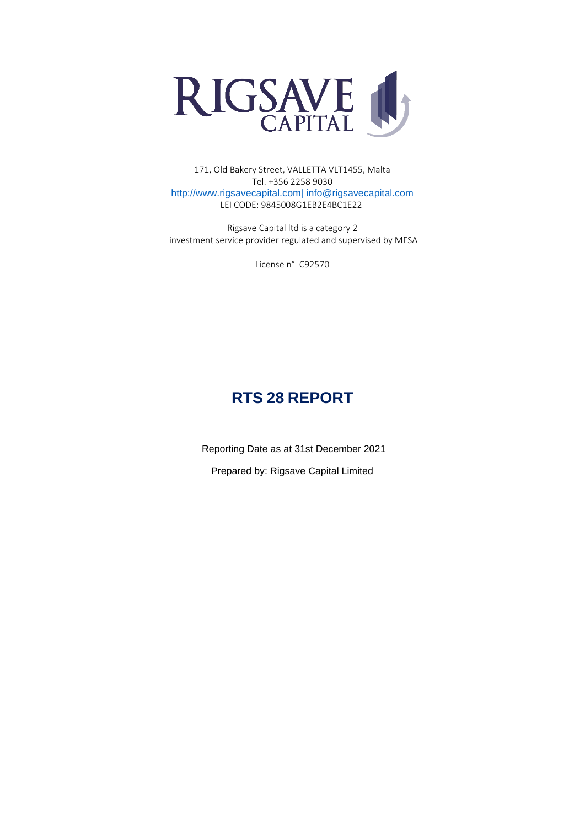

171, Old Bakery Street, VALLETTA VLT1455, Malta Tel. +356 2258 9030 [http://www.rigsavecapital.com|](http://www.rigsavecapital.com|/) [info@rigsavecapital.com](mailto:info@rigsavecapital.com) LEI CODE: 9845008G1EB2E4BC1E22

Rigsave Capital ltd is a category 2 investment service provider regulated and supervised by MFSA

License n° C92570

# **RTS 28 REPORT**

Reporting Date as at 31st December 2021

Prepared by: Rigsave Capital Limited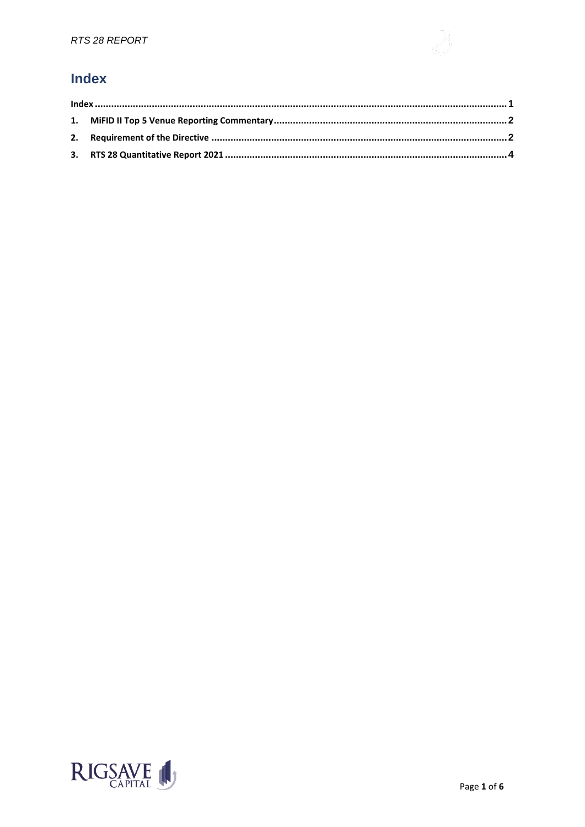## <span id="page-1-0"></span>**Index**

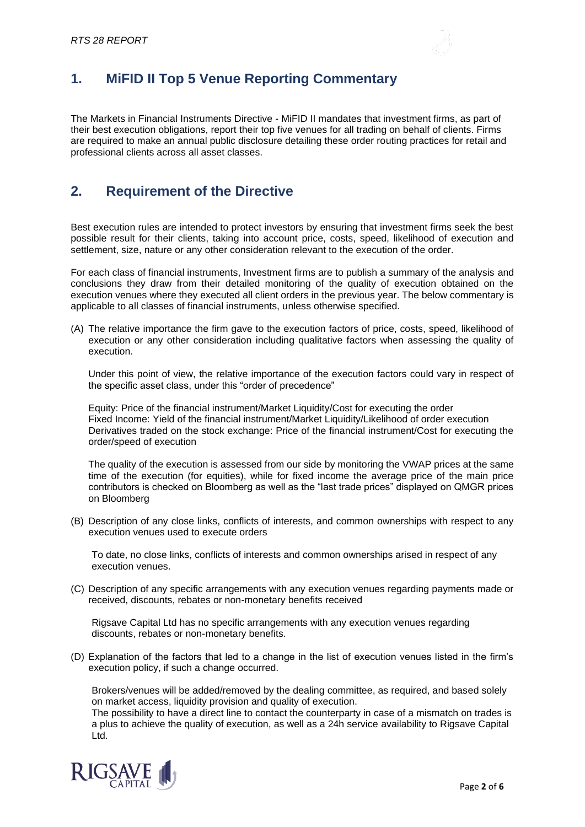

## <span id="page-2-0"></span>**1. MiFID II Top 5 Venue Reporting Commentary**

The Markets in Financial Instruments Directive - MiFID II mandates that investment firms, as part of their best execution obligations, report their top five venues for all trading on behalf of clients. Firms are required to make an annual public disclosure detailing these order routing practices for retail and professional clients across all asset classes.

### <span id="page-2-1"></span>**2. Requirement of the Directive**

Best execution rules are intended to protect investors by ensuring that investment firms seek the best possible result for their clients, taking into account price, costs, speed, likelihood of execution and settlement, size, nature or any other consideration relevant to the execution of the order.

For each class of financial instruments, Investment firms are to publish a summary of the analysis and conclusions they draw from their detailed monitoring of the quality of execution obtained on the execution venues where they executed all client orders in the previous year. The below commentary is applicable to all classes of financial instruments, unless otherwise specified.

(A) The relative importance the firm gave to the execution factors of price, costs, speed, likelihood of execution or any other consideration including qualitative factors when assessing the quality of execution.

Under this point of view, the relative importance of the execution factors could vary in respect of the specific asset class, under this "order of precedence"

Equity: Price of the financial instrument/Market Liquidity/Cost for executing the order Fixed Income: Yield of the financial instrument/Market Liquidity/Likelihood of order execution Derivatives traded on the stock exchange: Price of the financial instrument/Cost for executing the order/speed of execution

The quality of the execution is assessed from our side by monitoring the VWAP prices at the same time of the execution (for equities), while for fixed income the average price of the main price contributors is checked on Bloomberg as well as the "last trade prices" displayed on QMGR prices on Bloomberg

(B) Description of any close links, conflicts of interests, and common ownerships with respect to any execution venues used to execute orders

To date, no close links, conflicts of interests and common ownerships arised in respect of any execution venues.

(C) Description of any specific arrangements with any execution venues regarding payments made or received, discounts, rebates or non-monetary benefits received

Rigsave Capital Ltd has no specific arrangements with any execution venues regarding discounts, rebates or non-monetary benefits.

(D) Explanation of the factors that led to a change in the list of execution venues listed in the firm's execution policy, if such a change occurred.

Brokers/venues will be added/removed by the dealing committee, as required, and based solely on market access, liquidity provision and quality of execution.

The possibility to have a direct line to contact the counterparty in case of a mismatch on trades is a plus to achieve the quality of execution, as well as a 24h service availability to Rigsave Capital Ltd.

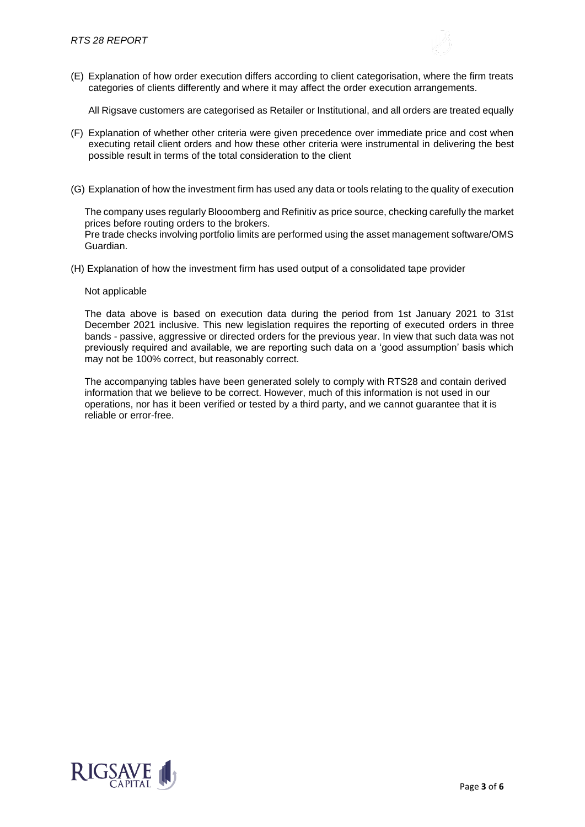(E) Explanation of how order execution differs according to client categorisation, where the firm treats categories of clients differently and where it may affect the order execution arrangements.

All Rigsave customers are categorised as Retailer or Institutional, and all orders are treated equally

- (F) Explanation of whether other criteria were given precedence over immediate price and cost when executing retail client orders and how these other criteria were instrumental in delivering the best possible result in terms of the total consideration to the client
- (G) Explanation of how the investment firm has used any data or tools relating to the quality of execution

The company uses regularly Blooomberg and Refinitiv as price source, checking carefully the market prices before routing orders to the brokers. Pre trade checks involving portfolio limits are performed using the asset management software/OMS Guardian.

(H) Explanation of how the investment firm has used output of a consolidated tape provider

#### Not applicable

The data above is based on execution data during the period from 1st January 2021 to 31st December 2021 inclusive. This new legislation requires the reporting of executed orders in three bands - passive, aggressive or directed orders for the previous year. In view that such data was not previously required and available, we are reporting such data on a 'good assumption' basis which may not be 100% correct, but reasonably correct.

The accompanying tables have been generated solely to comply with RTS28 and contain derived information that we believe to be correct. However, much of this information is not used in our operations, nor has it been verified or tested by a third party, and we cannot guarantee that it is reliable or error-free.

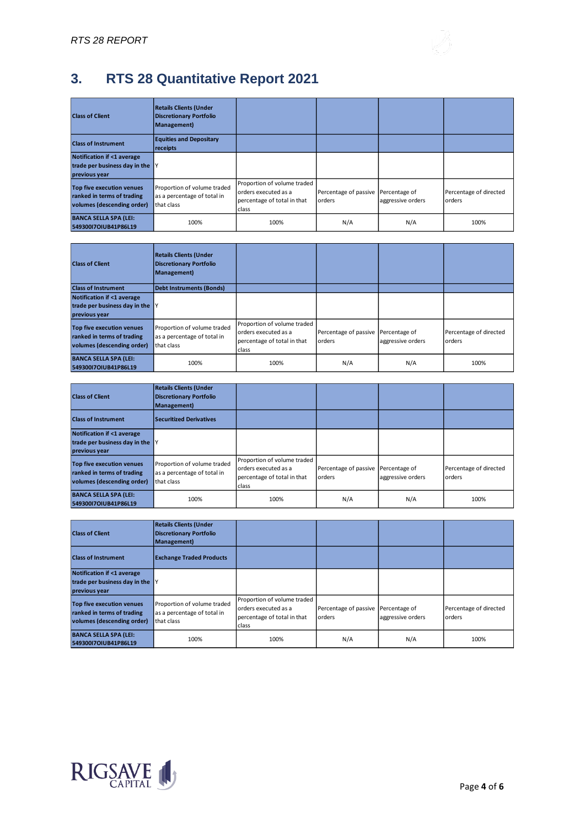

# <span id="page-4-0"></span>**3. RTS 28 Quantitative Report 2021**

| <b>Class of Client</b>                                                                       | <b>Retails Clients (Under</b><br><b>Discretionary Portfolio</b><br>Management) |                                                                                             |                                               |                   |                                  |
|----------------------------------------------------------------------------------------------|--------------------------------------------------------------------------------|---------------------------------------------------------------------------------------------|-----------------------------------------------|-------------------|----------------------------------|
| <b>Class of Instrument</b>                                                                   | <b>Equities and Depositary</b><br>receipts                                     |                                                                                             |                                               |                   |                                  |
| <b>Notification if &lt;1 average</b><br>trade per business day in the $ Y $<br>previous year |                                                                                |                                                                                             |                                               |                   |                                  |
| Top five execution venues<br>ranked in terms of trading<br>volumes (descending order)        | Proportion of volume traded<br>as a percentage of total in<br>that class       | Proportion of volume traded<br>orders executed as a<br>percentage of total in that<br>class | Percentage of passive Percentage of<br>orders | aggressive orders | Percentage of directed<br>orders |
| <b>BANCA SELLA SPA (LEI:</b><br>54930017OIUB41P86L19                                         | 100%                                                                           | 100%                                                                                        | N/A                                           | N/A               | 100%                             |

| <b>Class of Client</b>              | <b>Retails Clients (Under</b><br><b>Discretionary Portfolio</b><br>Management) |                                                     |                                     |                   |                        |
|-------------------------------------|--------------------------------------------------------------------------------|-----------------------------------------------------|-------------------------------------|-------------------|------------------------|
| <b>Class of Instrument</b>          | Debt Instruments (Bonds)                                                       |                                                     |                                     |                   |                        |
| Notification if <1 average          |                                                                                |                                                     |                                     |                   |                        |
| trade per business day in the $ Y $ |                                                                                |                                                     |                                     |                   |                        |
| previous year                       |                                                                                |                                                     |                                     |                   |                        |
| Top five execution venues           | Proportion of volume traded                                                    | Proportion of volume traded<br>orders executed as a | Percentage of passive Percentage of |                   | Percentage of directed |
| ranked in terms of trading          | as a percentage of total in                                                    | percentage of total in that                         | orders                              | aggressive orders | orders                 |
| volumes (descending order)          | that class                                                                     | class                                               |                                     |                   |                        |
| <b>BANCA SELLA SPA (LEI:</b>        | 100%                                                                           | 100%                                                | N/A                                 | N/A               | 100%                   |
| 54930017OIUB41P86L19                |                                                                                |                                                     |                                     |                   |                        |

| <b>Class of Client</b>                                                                       | <b>Retails Clients (Under</b><br><b>Discretionary Portfolio</b><br>Management) |                                                                                             |                                               |                   |                                  |
|----------------------------------------------------------------------------------------------|--------------------------------------------------------------------------------|---------------------------------------------------------------------------------------------|-----------------------------------------------|-------------------|----------------------------------|
| <b>Class of Instrument</b>                                                                   | Securitized Derivatives                                                        |                                                                                             |                                               |                   |                                  |
| Notification if <1 average<br>trade per business day in the $ Y $<br>previous year           |                                                                                |                                                                                             |                                               |                   |                                  |
| <b>Top five execution venues</b><br>ranked in terms of trading<br>volumes (descending order) | Proportion of volume traded<br>as a percentage of total in<br>that class       | Proportion of volume traded<br>orders executed as a<br>percentage of total in that<br>class | Percentage of passive Percentage of<br>orders | aggressive orders | Percentage of directed<br>orders |
| <b>BANCA SELLA SPA (LEI:</b><br>54930017OIUB41P86L19                                         | 100%                                                                           | 100%                                                                                        | N/A                                           | N/A               | 100%                             |

| <b>Class of Client</b>                                                                       | <b>Retails Clients (Under</b><br><b>Discretionary Portfolio</b><br>Management) |                                                                                             |                                               |                   |                                  |
|----------------------------------------------------------------------------------------------|--------------------------------------------------------------------------------|---------------------------------------------------------------------------------------------|-----------------------------------------------|-------------------|----------------------------------|
| <b>Class of Instrument</b>                                                                   | <b>Exchange Traded Products</b>                                                |                                                                                             |                                               |                   |                                  |
| Notification if <1 average<br>trade per business day in the $ Y $<br>previous year           |                                                                                |                                                                                             |                                               |                   |                                  |
| <b>Top five execution venues</b><br>ranked in terms of trading<br>volumes (descending order) | Proportion of volume traded<br>as a percentage of total in<br>that class       | Proportion of volume traded<br>orders executed as a<br>percentage of total in that<br>class | Percentage of passive Percentage of<br>orders | aggressive orders | Percentage of directed<br>orders |
| <b>BANCA SELLA SPA (LEI:</b><br>54930017OIUB41P86L19                                         | 100%                                                                           | 100%                                                                                        | N/A                                           | N/A               | 100%                             |

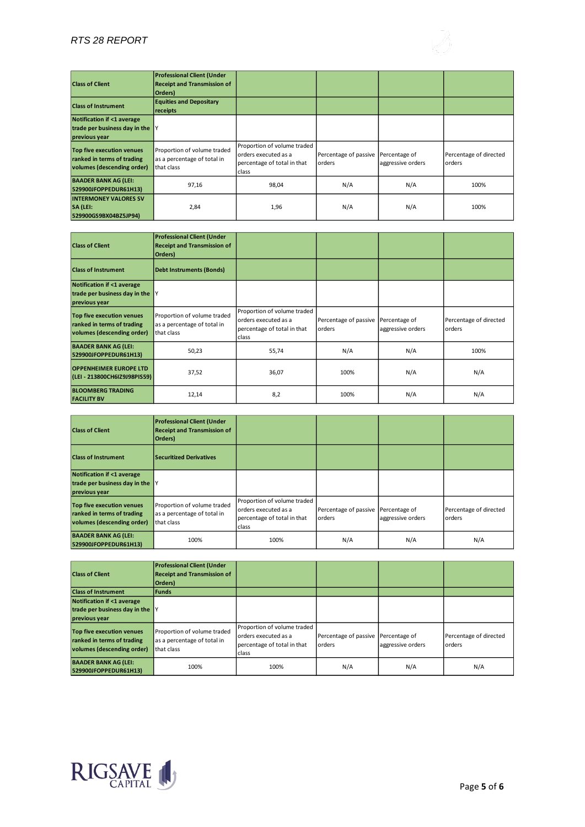### *RTS 28 REPORT*

| <b>Class of Client</b><br><b>Class of Instrument</b>                                  | <b>Professional Client (Under</b><br><b>Receipt and Transmission of</b><br>Orders)<br><b>Equities and Depositary</b><br>receipts |                                                                                             |                                               |                   |                                  |
|---------------------------------------------------------------------------------------|----------------------------------------------------------------------------------------------------------------------------------|---------------------------------------------------------------------------------------------|-----------------------------------------------|-------------------|----------------------------------|
| <b>Notification if &lt;1 average</b>                                                  |                                                                                                                                  |                                                                                             |                                               |                   |                                  |
| trade per business day in the $ Y $<br>previous year                                  |                                                                                                                                  |                                                                                             |                                               |                   |                                  |
| Top five execution venues<br>ranked in terms of trading<br>volumes (descending order) | Proportion of volume traded<br>as a percentage of total in<br>that class                                                         | Proportion of volume traded<br>orders executed as a<br>percentage of total in that<br>class | Percentage of passive Percentage of<br>orders | aggressive orders | Percentage of directed<br>orders |
| <b>BAADER BANK AG (LEI:</b><br>529900JFOPPEDUR61H13)                                  | 97,16                                                                                                                            | 98,04                                                                                       | N/A                                           | N/A               | 100%                             |
| <b>INTERMONEY VALORES SV</b><br>SA (LEI:<br>529900GS9BX04BZ5JP94)                     | 2,84                                                                                                                             | 1,96                                                                                        | N/A                                           | N/A               | 100%                             |

| <b>Class of Client</b>                                                                       | <b>Professional Client (Under</b><br><b>Receipt and Transmission of</b><br>Orders) |                                                                                             |                                               |                   |                                  |
|----------------------------------------------------------------------------------------------|------------------------------------------------------------------------------------|---------------------------------------------------------------------------------------------|-----------------------------------------------|-------------------|----------------------------------|
| <b>Class of Instrument</b>                                                                   | <b>Debt Instruments (Bonds)</b>                                                    |                                                                                             |                                               |                   |                                  |
| <b>Notification if &lt;1 average</b><br>trade per business day in the $ Y $<br>previous year |                                                                                    |                                                                                             |                                               |                   |                                  |
| Top five execution venues<br>ranked in terms of trading<br>volumes (descending order)        | Proportion of volume traded<br>as a percentage of total in<br>that class           | Proportion of volume traded<br>orders executed as a<br>percentage of total in that<br>class | Percentage of passive Percentage of<br>orders | aggressive orders | Percentage of directed<br>orders |
| <b>BAADER BANK AG (LEI:</b><br>529900JFOPPEDUR61H13)                                         | 50,23                                                                              | 55,74                                                                                       | N/A                                           | N/A               | 100%                             |
| <b>OPPENHEIMER EUROPE LTD</b><br>(LEI - 213800CH6IZ9J98PIS59)                                | 37,52                                                                              | 36,07                                                                                       | 100%                                          | N/A               | N/A                              |
| <b>BLOOMBERG TRADING</b><br><b>FACILITY BV</b>                                               | 12,14                                                                              | 8,2                                                                                         | 100%                                          | N/A               | N/A                              |

| <b>Class of Client</b>                                                                | <b>Professional Client (Under</b><br><b>Receipt and Transmission of</b><br>Orders) |                                                                                             |                                               |                   |                                  |
|---------------------------------------------------------------------------------------|------------------------------------------------------------------------------------|---------------------------------------------------------------------------------------------|-----------------------------------------------|-------------------|----------------------------------|
| <b>Class of Instrument</b>                                                            | <b>Securitized Derivatives</b>                                                     |                                                                                             |                                               |                   |                                  |
| Notification if <1 average<br>trade per business day in the $ Y $<br>previous year    |                                                                                    |                                                                                             |                                               |                   |                                  |
| Top five execution venues<br>ranked in terms of trading<br>volumes (descending order) | Proportion of volume traded<br>as a percentage of total in<br>that class           | Proportion of volume traded<br>orders executed as a<br>percentage of total in that<br>class | Percentage of passive Percentage of<br>orders | aggressive orders | Percentage of directed<br>orders |
| <b>BAADER BANK AG (LEI:</b><br>529900JFOPPEDUR61H13)                                  | 100%                                                                               | 100%                                                                                        | N/A                                           | N/A               | N/A                              |

| <b>Class of Client</b>                                                                | <b>Professional Client (Under</b><br><b>Receipt and Transmission of</b><br>Orders) |                                                                                             |                                               |                   |                                  |
|---------------------------------------------------------------------------------------|------------------------------------------------------------------------------------|---------------------------------------------------------------------------------------------|-----------------------------------------------|-------------------|----------------------------------|
| <b>Class of Instrument</b>                                                            | l Funds                                                                            |                                                                                             |                                               |                   |                                  |
| Notification if <1 average<br>trade per business day in the Y<br>previous year        |                                                                                    |                                                                                             |                                               |                   |                                  |
| Top five execution venues<br>ranked in terms of trading<br>volumes (descending order) | Proportion of volume traded<br>as a percentage of total in<br>that class           | Proportion of volume traded<br>orders executed as a<br>percentage of total in that<br>class | Percentage of passive Percentage of<br>orders | aggressive orders | Percentage of directed<br>orders |
| <b>BAADER BANK AG (LEI:</b><br>529900JFOPPEDUR61H13)                                  | 100%                                                                               | 100%                                                                                        | N/A                                           | N/A               | N/A                              |